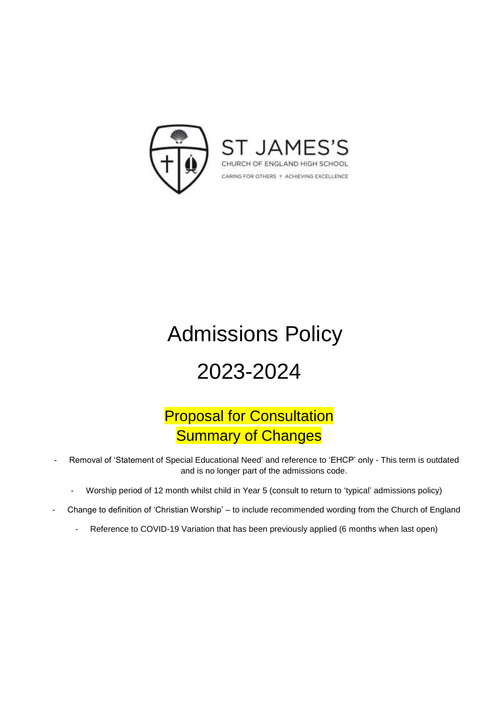

# Admissions Policy

## 2023-2024

### Proposal for Consultation **Summary of Changes**

- Removal of 'Statement of Special Educational Need' and reference to 'EHCP' only This term is outdated and is no longer part of the admissions code.
	- Worship period of 12 month whilst child in Year 5 (consult to return to 'typical' admissions policy)
- Change to definition of 'Christian Worship' to include recommended wording from the Church of England
	- Reference to COVID-19 Variation that has been previously applied (6 months when last open)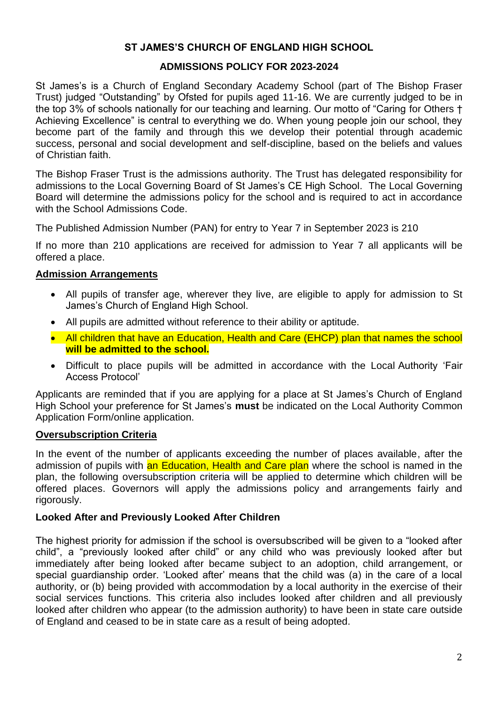#### **ST JAMES'S CHURCH OF ENGLAND HIGH SCHOOL**

#### **ADMISSIONS POLICY FOR 2023-2024**

St James's is a Church of England Secondary Academy School (part of The Bishop Fraser Trust) judged "Outstanding" by Ofsted for pupils aged 11-16. We are currently judged to be in the top 3% of schools nationally for our teaching and learning. Our motto of "Caring for Others † Achieving Excellence" is central to everything we do. When young people join our school, they become part of the family and through this we develop their potential through academic success, personal and social development and self-discipline, based on the beliefs and values of Christian faith.

The Bishop Fraser Trust is the admissions authority. The Trust has delegated responsibility for admissions to the Local Governing Board of St James's CE High School. The Local Governing Board will determine the admissions policy for the school and is required to act in accordance with the School Admissions Code.

The Published Admission Number (PAN) for entry to Year 7 in September 2023 is 210

If no more than 210 applications are received for admission to Year 7 all applicants will be offered a place.

#### **Admission Arrangements**

- All pupils of transfer age, wherever they live, are eligible to apply for admission to St James's Church of England High School.
- All pupils are admitted without reference to their ability or aptitude.
- All children that have an Education, Health and Care (EHCP) plan that names the school **will be admitted to the school.**
- Difficult to place pupils will be admitted in accordance with the Local Authority 'Fair Access Protocol'

Applicants are reminded that if you are applying for a place at St James's Church of England High School your preference for St James's **must** be indicated on the Local Authority Common Application Form/online application.

#### **Oversubscription Criteria**

In the event of the number of applicants exceeding the number of places available, after the admission of pupils with an Education, Health and Care plan where the school is named in the plan, the following oversubscription criteria will be applied to determine which children will be offered places. Governors will apply the admissions policy and arrangements fairly and rigorously.

#### **Looked After and Previously Looked After Children**

The highest priority for admission if the school is oversubscribed will be given to a "looked after child", a "previously looked after child" or any child who was previously looked after but immediately after being looked after became subject to an adoption, child arrangement, or special guardianship order. 'Looked after' means that the child was (a) in the care of a local authority, or (b) being provided with accommodation by a local authority in the exercise of their social services functions. This criteria also includes looked after children and all previously looked after children who appear (to the admission authority) to have been in state care outside of England and ceased to be in state care as a result of being adopted.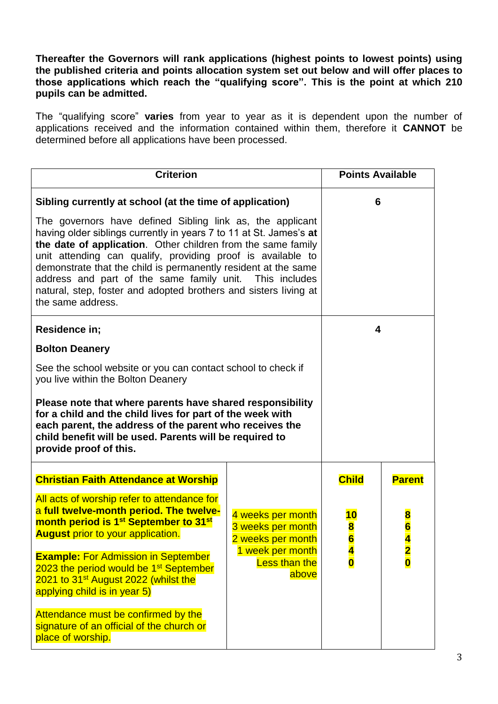**Thereafter the Governors will rank applications (highest points to lowest points) using the published criteria and points allocation system set out below and will offer places to those applications which reach the "qualifying score". This is the point at which 210 pupils can be admitted.**

The "qualifying score" **varies** from year to year as it is dependent upon the number of applications received and the information contained within them, therefore it **CANNOT** be determined before all applications have been processed.

| <b>Criterion</b>                                                                                                                                                                                                                                                                                                                                                                                                                                        |                                                                                                                  | <b>Points Available</b>          |               |
|---------------------------------------------------------------------------------------------------------------------------------------------------------------------------------------------------------------------------------------------------------------------------------------------------------------------------------------------------------------------------------------------------------------------------------------------------------|------------------------------------------------------------------------------------------------------------------|----------------------------------|---------------|
| Sibling currently at school (at the time of application)<br>The governors have defined Sibling link as, the applicant<br>having older siblings currently in years 7 to 11 at St. James's at<br>the date of application. Other children from the same family<br>unit attending can qualify, providing proof is available to<br>demonstrate that the child is permanently resident at the same<br>address and part of the same family unit. This includes |                                                                                                                  | 6                                |               |
| natural, step, foster and adopted brothers and sisters living at<br>the same address.                                                                                                                                                                                                                                                                                                                                                                   |                                                                                                                  |                                  |               |
| Residence in;                                                                                                                                                                                                                                                                                                                                                                                                                                           |                                                                                                                  | 4                                |               |
| <b>Bolton Deanery</b>                                                                                                                                                                                                                                                                                                                                                                                                                                   |                                                                                                                  |                                  |               |
| See the school website or you can contact school to check if<br>you live within the Bolton Deanery                                                                                                                                                                                                                                                                                                                                                      |                                                                                                                  |                                  |               |
| Please note that where parents have shared responsibility<br>for a child and the child lives for part of the week with<br>each parent, the address of the parent who receives the<br>child benefit will be used. Parents will be required to<br>provide proof of this.                                                                                                                                                                                  |                                                                                                                  |                                  |               |
| <b>Christian Faith Attendance at Worship</b>                                                                                                                                                                                                                                                                                                                                                                                                            |                                                                                                                  | <b>Child</b>                     | <b>Parent</b> |
| All acts of worship refer to attendance for<br>a full twelve-month period. The twelve-<br>month period is 1 <sup>st</sup> September to 31 <sup>st</sup><br><b>August</b> prior to your application.                                                                                                                                                                                                                                                     | 4 weeks per month<br>3 weeks per month<br>2 weeks per month<br>1 week per month<br><b>Less than the</b><br>above | <mark>10</mark><br>$\frac{8}{6}$ | $\frac{8}{6}$ |
| <b>Example: For Admission in September</b><br>2023 the period would be 1 <sup>st</sup> September<br>2021 to 31 <sup>st</sup> August 2022 (whilst the<br>applying child is in year 5)                                                                                                                                                                                                                                                                    |                                                                                                                  | $\frac{4}{0}$                    | $\frac{2}{0}$ |
| Attendance must be confirmed by the<br>signature of an official of the church or<br>place of worship.                                                                                                                                                                                                                                                                                                                                                   |                                                                                                                  |                                  |               |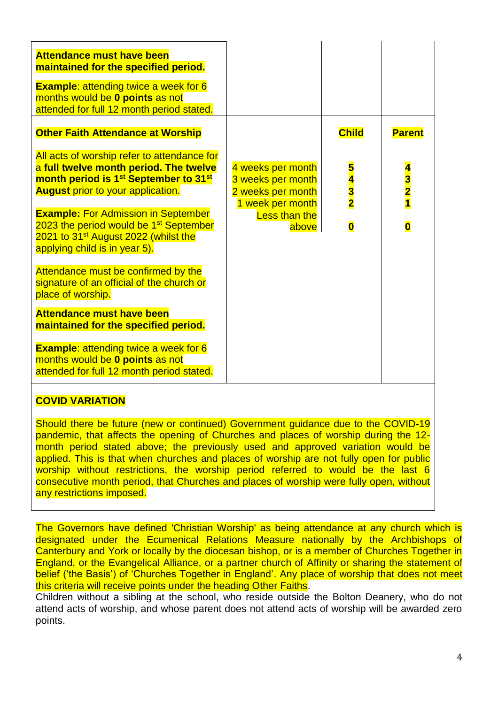| <b>Attendance must have been</b><br>maintained for the specified period.                                                                                                                           |                                                                                 |                         |                             |
|----------------------------------------------------------------------------------------------------------------------------------------------------------------------------------------------------|---------------------------------------------------------------------------------|-------------------------|-----------------------------|
| <b>Example: attending twice a week for 6</b><br>months would be 0 points as not<br>attended for full 12 month period stated.                                                                       |                                                                                 |                         |                             |
| <b>Other Faith Attendance at Worship</b>                                                                                                                                                           |                                                                                 | <b>Child</b>            | <b>Parent</b>               |
| All acts of worship refer to attendance for<br>a full twelve month period. The twelve<br>month period is 1 <sup>st</sup> September to 31 <sup>st</sup><br><b>August</b> prior to your application. | 4 weeks per month<br>3 weeks per month<br>2 weeks per month<br>1 week per month | $\frac{5}{4}$           | $\frac{4}{3}$ $\frac{2}{1}$ |
| <b>Example: For Admission in September</b><br>2023 the period would be 1 <sup>st</sup> September<br>2021 to 31 <sup>st</sup> August 2022 (whilst the<br>applying child is in year 5).              | <b>Less than the</b><br>above                                                   | $\overline{\mathbf{0}}$ | $\overline{\mathbf{0}}$     |
| Attendance must be confirmed by the<br>signature of an official of the church or<br>place of worship.                                                                                              |                                                                                 |                         |                             |
| <b>Attendance must have been</b><br>maintained for the specified period.                                                                                                                           |                                                                                 |                         |                             |
| <b>Example: attending twice a week for 6</b><br>months would be 0 points as not<br>attended for full 12 month period stated.                                                                       |                                                                                 |                         |                             |
|                                                                                                                                                                                                    |                                                                                 |                         |                             |

#### **COVID VARIATION**

Should there be future (new or continued) Government guidance due to the COVID-19 pandemic, that affects the opening of Churches and places of worship during the 12 month period stated above; the previously used and approved variation would be applied. This is that when churches and places of worship are not fully open for public worship without restrictions, the worship period referred to would be the last 6 consecutive month period, that Churches and places of worship were fully open, without any restrictions imposed.

The Governors have defined 'Christian Worship' as being attendance at any church which is designated under the Ecumenical Relations Measure nationally by the Archbishops of Canterbury and York or locally by the diocesan bishop, or is a member of Churches Together in England, or the Evangelical Alliance, or a partner church of Affinity or sharing the statement of belief ('the Basis') of 'Churches Together in England'. Any place of worship that does not meet this criteria will receive points under the heading Other Faiths.

Children without a sibling at the school, who reside outside the Bolton Deanery, who do not attend acts of worship, and whose parent does not attend acts of worship will be awarded zero points.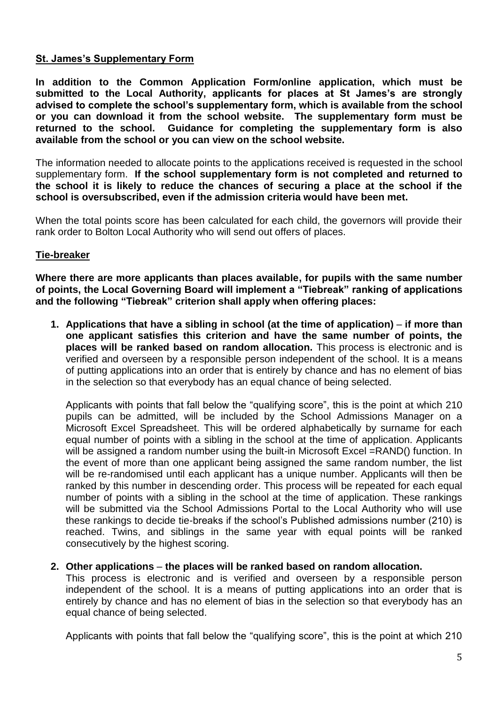#### **St. James's Supplementary Form**

**In addition to the Common Application Form/online application, which must be submitted to the Local Authority, applicants for places at St James's are strongly advised to complete the school's supplementary form, which is available from the school or you can download it from the school website. The supplementary form must be returned to the school. Guidance for completing the supplementary form is also available from the school or you can view on the school website.** 

The information needed to allocate points to the applications received is requested in the school supplementary form. **If the school supplementary form is not completed and returned to the school it is likely to reduce the chances of securing a place at the school if the school is oversubscribed, even if the admission criteria would have been met.**

When the total points score has been calculated for each child, the governors will provide their rank order to Bolton Local Authority who will send out offers of places.

#### **Tie-breaker**

**Where there are more applicants than places available, for pupils with the same number of points, the Local Governing Board will implement a "Tiebreak" ranking of applications and the following "Tiebreak" criterion shall apply when offering places:**

**1. Applications that have a sibling in school (at the time of application)** – **if more than one applicant satisfies this criterion and have the same number of points, the places will be ranked based on random allocation.** This process is electronic and is verified and overseen by a responsible person independent of the school. It is a means of putting applications into an order that is entirely by chance and has no element of bias in the selection so that everybody has an equal chance of being selected.

Applicants with points that fall below the "qualifying score", this is the point at which 210 pupils can be admitted, will be included by the School Admissions Manager on a Microsoft Excel Spreadsheet. This will be ordered alphabetically by surname for each equal number of points with a sibling in the school at the time of application. Applicants will be assigned a random number using the built-in Microsoft Excel = RAND() function. In the event of more than one applicant being assigned the same random number, the list will be re-randomised until each applicant has a unique number. Applicants will then be ranked by this number in descending order. This process will be repeated for each equal number of points with a sibling in the school at the time of application. These rankings will be submitted via the School Admissions Portal to the Local Authority who will use these rankings to decide tie-breaks if the school's Published admissions number (210) is reached. Twins, and siblings in the same year with equal points will be ranked consecutively by the highest scoring.

#### **2. Other applications** – **the places will be ranked based on random allocation.**

This process is electronic and is verified and overseen by a responsible person independent of the school. It is a means of putting applications into an order that is entirely by chance and has no element of bias in the selection so that everybody has an equal chance of being selected.

Applicants with points that fall below the "qualifying score", this is the point at which 210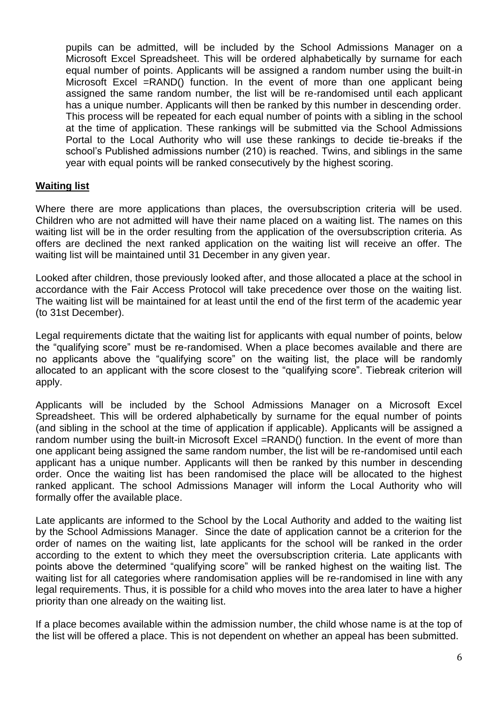pupils can be admitted, will be included by the School Admissions Manager on a Microsoft Excel Spreadsheet. This will be ordered alphabetically by surname for each equal number of points. Applicants will be assigned a random number using the built-in Microsoft Excel =RAND() function. In the event of more than one applicant being assigned the same random number, the list will be re-randomised until each applicant has a unique number. Applicants will then be ranked by this number in descending order. This process will be repeated for each equal number of points with a sibling in the school at the time of application. These rankings will be submitted via the School Admissions Portal to the Local Authority who will use these rankings to decide tie-breaks if the school's Published admissions number (210) is reached. Twins, and siblings in the same year with equal points will be ranked consecutively by the highest scoring.

#### **Waiting list**

Where there are more applications than places, the oversubscription criteria will be used. Children who are not admitted will have their name placed on a waiting list. The names on this waiting list will be in the order resulting from the application of the oversubscription criteria. As offers are declined the next ranked application on the waiting list will receive an offer. The waiting list will be maintained until 31 December in any given year.

Looked after children, those previously looked after, and those allocated a place at the school in accordance with the Fair Access Protocol will take precedence over those on the waiting list. The waiting list will be maintained for at least until the end of the first term of the academic year (to 31st December).

Legal requirements dictate that the waiting list for applicants with equal number of points, below the "qualifying score" must be re-randomised. When a place becomes available and there are no applicants above the "qualifying score" on the waiting list, the place will be randomly allocated to an applicant with the score closest to the "qualifying score". Tiebreak criterion will apply.

Applicants will be included by the School Admissions Manager on a Microsoft Excel Spreadsheet. This will be ordered alphabetically by surname for the equal number of points (and sibling in the school at the time of application if applicable). Applicants will be assigned a random number using the built-in Microsoft Excel =RAND() function. In the event of more than one applicant being assigned the same random number, the list will be re-randomised until each applicant has a unique number. Applicants will then be ranked by this number in descending order. Once the waiting list has been randomised the place will be allocated to the highest ranked applicant. The school Admissions Manager will inform the Local Authority who will formally offer the available place.

Late applicants are informed to the School by the Local Authority and added to the waiting list by the School Admissions Manager. Since the date of application cannot be a criterion for the order of names on the waiting list, late applicants for the school will be ranked in the order according to the extent to which they meet the oversubscription criteria. Late applicants with points above the determined "qualifying score" will be ranked highest on the waiting list. The waiting list for all categories where randomisation applies will be re-randomised in line with any legal requirements. Thus, it is possible for a child who moves into the area later to have a higher priority than one already on the waiting list.

If a place becomes available within the admission number, the child whose name is at the top of the list will be offered a place. This is not dependent on whether an appeal has been submitted.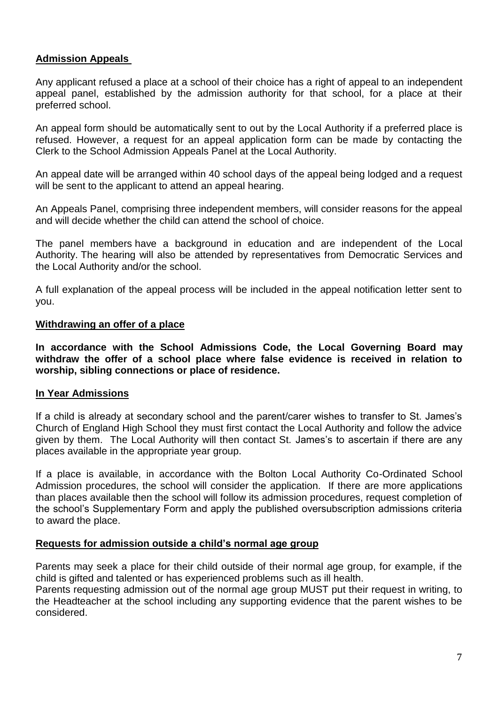#### **Admission Appeals**

Any applicant refused a place at a school of their choice has a right of appeal to an independent appeal panel, established by the admission authority for that school, for a place at their preferred school.

An appeal form should be automatically sent to out by the Local Authority if a preferred place is refused. However, a request for an appeal application form can be made by contacting the Clerk to the School Admission Appeals Panel at the Local Authority.

An appeal date will be arranged within 40 school days of the appeal being lodged and a request will be sent to the applicant to attend an appeal hearing.

An Appeals Panel, comprising three independent members, will consider reasons for the appeal and will decide whether the child can attend the school of choice.

The panel members have a background in education and are independent of the Local Authority. The hearing will also be attended by representatives from Democratic Services and the Local Authority and/or the school.

A full explanation of the appeal process will be included in the appeal notification letter sent to you.

#### **Withdrawing an offer of a place**

**In accordance with the School Admissions Code, the Local Governing Board may withdraw the offer of a school place where false evidence is received in relation to worship, sibling connections or place of residence.**

#### **In Year Admissions**

If a child is already at secondary school and the parent/carer wishes to transfer to St. James's Church of England High School they must first contact the Local Authority and follow the advice given by them. The Local Authority will then contact St. James's to ascertain if there are any places available in the appropriate year group.

If a place is available, in accordance with the Bolton Local Authority Co-Ordinated School Admission procedures, the school will consider the application. If there are more applications than places available then the school will follow its admission procedures, request completion of the school's Supplementary Form and apply the published oversubscription admissions criteria to award the place.

#### **Requests for admission outside a child's normal age group**

Parents may seek a place for their child outside of their normal age group, for example, if the child is gifted and talented or has experienced problems such as ill health.

Parents requesting admission out of the normal age group MUST put their request in writing, to the Headteacher at the school including any supporting evidence that the parent wishes to be considered.